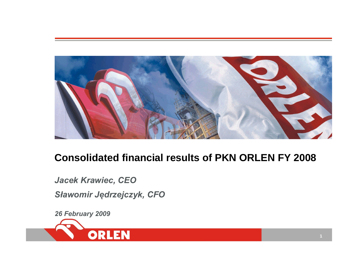

# **Consolidated financial results of PKN ORLEN FY 2008**

*Jacek Krawiec, CEO S ławomir J ędrzejczyk, CFO*

*26 February 2009*

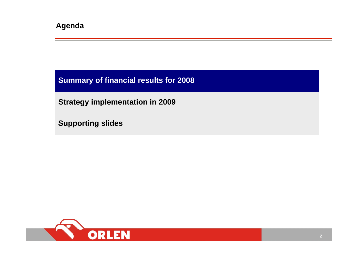**Summary of financial results for 2008**

**Strategy implementation in 2009**

**Supporting slides**

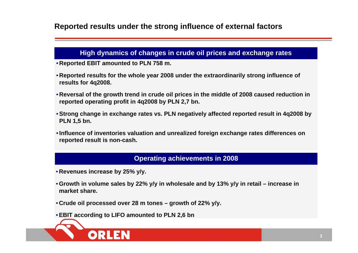### **Reported results under the strong influence of external factors**

#### **High dynamics of changes in crude oil prices and exchange r ates**

- **Reported EBIT amounted to PLN 758 m.**
- **Reported results for the whole year 2008 under the extraordinarily strong influence of results for 4q2008.**
- **Reversal of the growth trend in crude oil prices in the middle of 2008 caused reduction in reported operating profit in 4q2008 by PLN 2,7 bn.**
- •**Strong change in exchange rates vs. PLN negatively affected reported result in 4q2008 by PLN 1,5 bn.**
- •**Influence of inventories valuation and unrealized foreign exchange rates differences on reported result is non-cash.**

#### **Operating achievements in 2008**

- **Revenues increase b y 25 %y/y.**
- •**Growth in volume sales by 22 % y/y in wholesale and b y 13 % y/y in retail – increase in market share.**
- **Crude oil processed over 28 m tones – growth of 22 % y/y.**
- •**EBIT according to LIFO amounted to PLN 2,6 bn**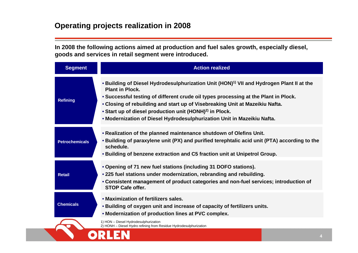**In 2008 the following actions aimed at production and fuel sales growth, especiall y diesel, goods and services in retail segment were introduced.**

| <b>Segment</b>        | <b>Action realized</b>                                                                                                                                                                                                                                                                                                                                                                                                                                  |
|-----------------------|---------------------------------------------------------------------------------------------------------------------------------------------------------------------------------------------------------------------------------------------------------------------------------------------------------------------------------------------------------------------------------------------------------------------------------------------------------|
| <b>Refining</b>       | • Building of Diesel Hydrodesulphurization Unit (HON) <sup>1)</sup> VII and Hydrogen Plant II at the<br><b>Plant in Plock.</b><br>. Successful testing of different crude oil types processing at the Plant in Plock.<br>• Closing of rebuilding and start up of Visebreaking Unit at Mazeikiu Nafta.<br>• Start up of diesel production unit (HONH) <sup>2)</sup> in Plock.<br>. Modernization of Diesel Hydrodesulphurization Unit in Mazeikiu Nafta. |
| <b>Petrochemicals</b> | . Realization of the planned maintenance shutdown of Olefins Unit.<br>• Building of paraxylene unit (PX) and purified terephtalic acid unit (PTA) according to the<br>schedule.<br>. Building of benzene extraction and C5 fraction unit at Unipetrol Group.                                                                                                                                                                                            |
| <b>Retail</b>         | • Opening of 71 new fuel stations (including 31 DOFO stations).<br>• 225 fuel stations under modernization, rebranding and rebuilding.<br>• Consistent management of product categories and non-fuel services; introduction of<br><b>STOP Cafe offer.</b>                                                                                                                                                                                               |
| <b>Chemicals</b>      | . Maximization of fertilizers sales.<br>. Building of oxygen unit and increase of capacity of fertilizers units.<br>• Modernization of production lines at PVC complex.                                                                                                                                                                                                                                                                                 |
|                       | 1) HON - Diesel Hydrodesulphurization<br>2) HONH - Diesel Hydro refining from Residue Hydrodesulphurization                                                                                                                                                                                                                                                                                                                                             |
|                       |                                                                                                                                                                                                                                                                                                                                                                                                                                                         |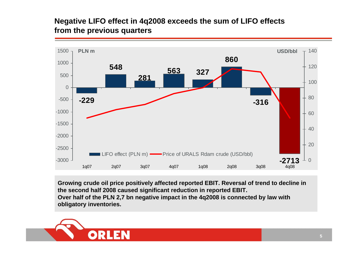### **Negative LIFO effect in 4q2008 exceeds the sum of LIFO effects from the previous quarters**



**Growing crude oil price positivel y affected reported EBIT. Reversal of trend to decline in the second half 2008 caused significant red uction in reported EBIT.** Over half of the PLN 2,7 bn negative impact in the 4q2008 is connected by law with **obligatory inventories.**

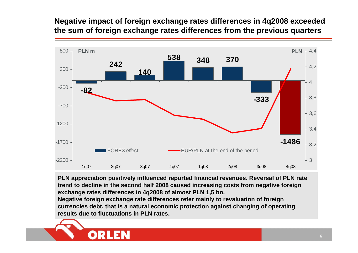### **Negative impact of foreign exchange rates differences in 4q2008 exceeded the sum of foreign exchange rates differences from the previous quarters**



PLN appreciation positively influenced reported financial revenues. Reversal of PLN rate **trend to decline in the second half 2008 caused increasing costs from negative foreign exchange rates differences in 4q2008 of almost PLN 1,5 bn.**

**Negative foreign exchange rate differences refer mainly to revaluation of foreign currencies debt, that is a natural economic protection against changing of operating results due to fluctuations in PLN rates.**

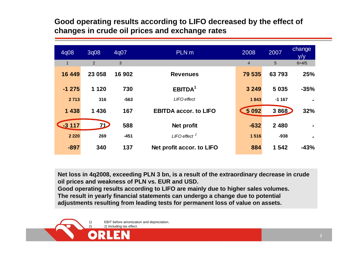### **Good operating results according to LIFO decreased by the effect of changes in crude oil prices and exchange rates**

| 4q08         | 3q08           | 4q07   | PLN <sub>m</sub>             | 2008           | 2007    | change<br>y/y |
|--------------|----------------|--------|------------------------------|----------------|---------|---------------|
| $\mathbf{1}$ | $\overline{2}$ | 3      |                              | $\overline{4}$ | 5       | $6 = 4/5$     |
| 16 449       | 23 058         | 16 902 | <b>Revenues</b>              | 79 535         | 63793   | 25%           |
| $-1275$      | 1 1 2 0        | 730    | EBITDA <sup>1</sup>          | 3 2 4 9        | 5 0 3 5 | $-35%$        |
| 2 7 1 3      | 316            | $-563$ | LIFO effect                  | 1843           | $-1167$ |               |
| 1 4 3 8      | 1 4 3 6        | 167    | <b>EBITDA accor. to LIFO</b> | $5092$         | 3868    | 32%           |
| $-3117$      | 71             | 588    | Net profit                   | $-632$         | 2 4 8 0 |               |
| 2 2 2 0      | 269            | $-451$ | LIFO effect $2$              | 1516           | $-938$  |               |
| $-897$       | 340            | 137    | Net profit accor. to LIFO    | 884            | 1 542   | $-43%$        |

**Net loss in 4q2008, exceeding PLN 3 bn, is a result of the extraordinar y decrease in crude oil prices and weakness of PLN vs. EUR and U SD.** 

**Good operating results according to LIFO are mainly due to higher sales volumes. The result in yearly financial statements can undergo a change due to potential adjustments resulting from leading tests for permanent loss of value on assets.**

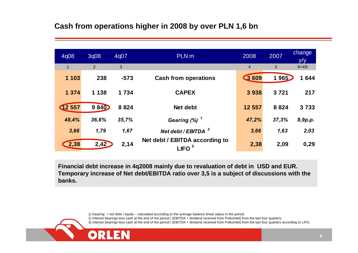### **Cash from operations higher in 2008 by over PLN 1,6 bn**

| 4q08           | 3q08           | 4q07    | PLN <sub>m</sub>                                    | 2008           | 2007  | change<br>y/y |
|----------------|----------------|---------|-----------------------------------------------------|----------------|-------|---------------|
| $\overline{1}$ | $\overline{2}$ | 3       |                                                     | $\overline{4}$ | 5     | $6 = 4/5$     |
| 1 1 0 3        | 238            | $-573$  | <b>Cash from operations</b>                         | $\bullet$ 609  | 1965  | 1644          |
| 1 3 7 4        | 1 1 3 8        | 1 7 3 4 | <b>CAPEX</b>                                        | 3938           | 3721  | 217           |
| 12557          | <b>9840</b>    | 8824    | Net debt                                            | 12 557         | 8824  | 3733          |
| 48,4%          | 36,6%          | 35,7%   | Gearing $(\%)$ <sup>1</sup>                         | 47,2%          | 37,3% | 9,9p.p.       |
| 3,66           | 1,79           | 1,67    | Net debt / EBITDA $^2$                              | 3,66           | 1,63  | 2,03          |
| 2,38           | 2,42           | 2,14    | Net debt / EBITDA according to<br>LIFO <sup>3</sup> | 2,38           | 2,09  | 0,29          |

Financial debt increase in 4q2008 mainly due to revaluation of debt in USD and EUR. **Temporar y increase of Net debt/EBITDA ratio o ver 3,5 is a subject of discu ssions with the banks.**

> 1) Gearing = net debt / equity – calculated according to the average balance sheet status in the period. 2) Interest bearings less cash at the end of the period / (EBITDA + dividend received from Polkomtel) from the last four quarters. 3) Interest bearings less cash at the end of the period / (EBITDA + dividend received from Polkomtel) from the last four quarters according to LIFO.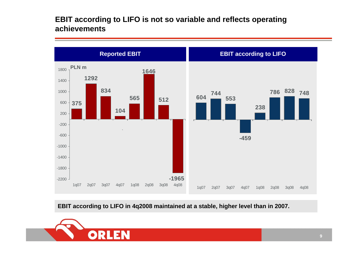### **EBIT according to LIFO is not so variable and reflects operating achievements**



**EBIT according to LIFO in 4q2008 maintained at a stable, higher level than in 2007.** 

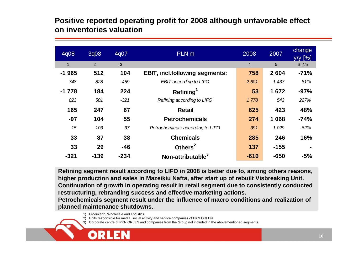### **Positive reported operating profit for 2008 although unfavorable effect on inventories valuation**

| 4q08    | 3q08   | 4q07   | PLN <sub>m</sub>                      | 2008           | 2007    | change<br>y/y [%] |
|---------|--------|--------|---------------------------------------|----------------|---------|-------------------|
| 1       | 2      | 3      |                                       | $\overline{4}$ | 5       | $6 = 4/5$         |
| $-1965$ | 512    | 104    | <b>EBIT, incl.following segments:</b> | 758            | 2 6 0 4 | $-71%$            |
| 748     | 828    | $-459$ | EBIT according to LIFO                | 2 601          | 1 437   | 81%               |
| $-1778$ | 184    | 224    | Refining <sup>1</sup>                 | 53             | 1672    | $-97%$            |
| 823     | 501    | $-321$ | Refining according to LIFO            | 1778           | 543     | 227%              |
| 165     | 247    | 67     | <b>Retail</b>                         | 625            | 423     | 48%               |
| $-97$   | 104    | 55     | <b>Petrochemicals</b>                 | 274            | 1 0 6 8 | $-74%$            |
| 15      | 103    | 37     | Petrochemicals according to LIFO      | 391            | 1 0 29  | $-62%$            |
| 33      | 87     | 38     | <b>Chemicals</b>                      | 285            | 246     | 16%               |
| 33      | 29     | $-46$  | Others $2$                            | 137            | $-155$  | $\blacksquare$    |
| $-321$  | $-139$ | $-234$ | Non-attributable <sup>3</sup>         | $-616$         | $-650$  | $-5%$             |

**Refining segment result according to LIFO in 2008 is better due to, among others reasons, higher production and sales in Mazeikiu Nafta, after start up of rebuilt Visbreaking Unit. Continuation of growth in operating result in retail segment due to consistentl y conducted restructuring, rebranding success and effective marketing actions.**

Petrochemicals segment result under the influence of macro conditions and realization of **pla nned maintenance shutdowns.**

- 1) Production, Wholesale and Logistics.
- 2) Units responsible for media, social activity and service companies of P KN ORLEN.
- 3) Corporate centre of PK NORLEN and companies from the Group not included in the abovementioned seg ments.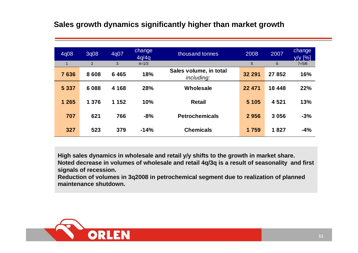### **Sales growth dynamics significantly higher than market growth**

| 4q08        | 3q08           | 4q07    | change<br>4q/4q | thousand tonnes                      | 2008    | 2007   | change<br>$y/y$ [%] |
|-------------|----------------|---------|-----------------|--------------------------------------|---------|--------|---------------------|
| $\mathbf 1$ | $\overline{2}$ | 3       | $4 = 1/3$       |                                      | 5       | 6      | $7 = 5/6$           |
| 7636        | 8608           | 6465    | 18%             | Sales volume, in total<br>including: | 32 291  | 27852  | 16%                 |
| 5 3 3 7     | 6088           | 4 1 6 8 | 28%             | Wholesale                            | 22 471  | 18 448 | 22%                 |
| 1 2 6 5     | 1 3 7 6        | 1 152   | 10%             | <b>Retail</b>                        | 5 1 0 5 | 4 5 21 | 13%                 |
| 707         | 621            | 766     | $-8%$           | <b>Petrochemicals</b>                | 2956    | 3056   | $-3%$               |
| 327         | 523            | 379     | $-14%$          | <b>Chemicals</b>                     | 1759    | 1827   | $-4%$               |

**High sales dynamics in wholesale and retail y/y shifts to the growth in market share.**

**Noted decrease in volumes of wholesale and retail 4q/3q is a result of seasonality and first signals of recession.**

**Reduction of volumes in 3q2008 in petrochemical segment due to realization of planned maintenance shutdown.**

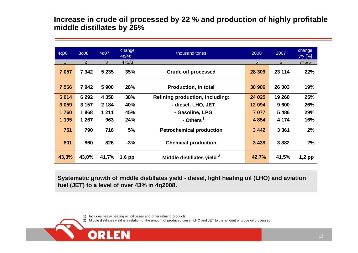### **Increase in crude oil processed by 22 % and production of highly profitable middle distillates by 26%**

| 4q08    | 3q08           | 4q07    | change<br>4q/4q | thousand tones                  | 2008    | 2007    | change<br>y/y [%] |
|---------|----------------|---------|-----------------|---------------------------------|---------|---------|-------------------|
|         | $\overline{2}$ | 3       | $4 = 1/3$       |                                 | 5       | 6       | $7 = 5/6$         |
| 7 0 5 7 | 7 342          | 5 2 3 5 | 35%             | <b>Crude oil processed</b>      | 28 309  | 23 114  | 22%               |
| 7 5 6 6 | 7942           | 5 900   | 28%             | <b>Production, in total</b>     | 30 906  | 26 003  | 19%               |
| 6 0 14  | 6 2 9 2        | 4 3 5 8 | 38%             | Refining production, including: | 24 025  | 19 260  | 25%               |
| 3 0 5 9 | 3 1 5 7        | 2 1 8 4 | 40%             | - diesel, LHO, JET              | 12 094  | 9600    | 26%               |
| 1760    | 1868           | 1 2 1 1 | 45%             | - Gasoline, LPG                 | 7 0 7 7 | 5486    | 29%               |
| 1 1 9 5 | 1 267          | 963     | 24%             | - Others <sup>1</sup>           | 4 8 5 4 | 4 1 7 4 | 16%               |
| 751     | 790            | 716     | 5%              | <b>Petrochemical production</b> | 3 4 4 2 | 3 3 6 1 | 2%                |
| 801     | 860            | 826     | $-3%$           | <b>Chemical production</b>      | 3 4 3 9 | 3 3 8 2 | 2%                |
| 43,3%   | 43,0%          | 41,7%   | $1,6$ pp        | Middle distillates yield 2      | 42,7%   | 41,5%   | $1,2$ pp          |

Systematic growth of middle distillates yield - diesel, light heating oil (LHO) and aviation **fuel (JET) to a level of over 43 % in 4q2008.**

1) Includes heavy heating oil, oil bases and other refining products.

OR

2) Middle distillates yield is a relation of the a mount of produced diesel, L H O and JET to the a mount of crude oil processed.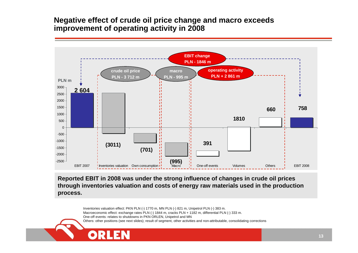### **Negative effect of crude oil price change and macro exceeds improvement of operating activity in 2008**



Reported EBIT in 2008 was under the strong influence of changes in crude oil prices through inventories valuation and costs of energy raw materials used in the production **process.**

> Inventories valuation effect: PKN PLN (-) 1770 m, MN PLN (-) 821 m, Unipetrol PLN (-) 383 m. Macroeconomic effect: exchange rates PLN (-) 1844 m, cracks PLN + 1182 m, differential PLN (-) 333 m. One-off events: relates to shutdowns in PK N ORLE N, Unipetrol and M N Others: other positions (see next slides); result of seg ment, other activities and non-attributable, consolidating corrections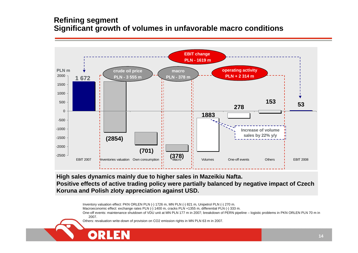### **Refining segment Significant growth of volumes in unfavorable macro conditions**



**High sales dynamics mainly due to higher sales in Mazeikiu Nafta. Positive effects of active trading policy were partially balanced by negative impact of Czech Koruna and Polish zloty appreciation against USD.** 

Inventory valuation effect: PKN ORLEN PLN (-) 1726 m, MN PLN (-) 821 m, Unipetrol PLN (-) 270 m.

Macroeconomic effect: exchange rates PLN (-) 1400 m, cracks PLN +1355 m, differential PLN (-) 333 m.

One-off events: maintenance shutdown of VDU unit at MN PLN 177 m in 2007; breakdown of PERN pipeline – logistic problems in PKN ORLEN PLN 70 m in 2007.

Others: revaluation write-down of provision on CO2 emission rights in MN PLN 63 m in 2007.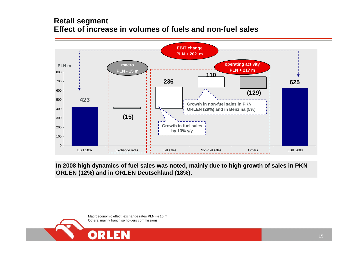### **Retail segment Effect of increase in volumes of fuels and non-fuel sales**



**In 2008 high dynamics of fuel sales was noted, mainly due to high growth of sales in PKN ORLEN (12%) and in ORLEN Deutschland (18%).**

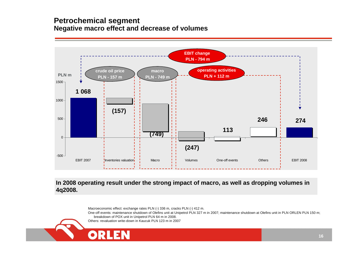### **Petrochemical segment Negative macro effect and decrease of volumes**



**In 2008 operating result under the strong impact of macro, as well as dropping volumes in 4q2008.**

Macroeconomic effect: exchange rates PLN (-) 336 m, cracks PLN (-) 412 m.

One-off events: maintenance shutdown of Olefins unit at Unipetrol PLN 327 <sup>m</sup> in 2007; maintenance shutdown at Olefins unit in PLN ORLEN PLN 150 m; breakdown of POX unit in Unipetrol PLN 64 m in 2008.

Others: revaluation write-down in Kaucuk PLN 123 m in 2007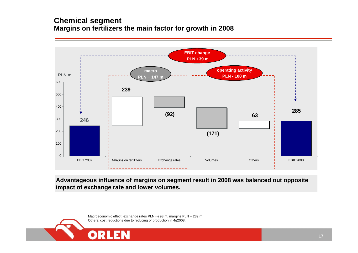### **Chemical segment Margins on fertilizers the main factor for growth in 2008**



**Advantageous influence of margins on segment result in 2008 was balanced out opposite impact of exchange rate and lower volumes.**

> Macroeconomic effect: exchange rates PLN (-) 93 m, margins PLN + 239 m. Others: cost reductions due to reducing of production in 4q2008.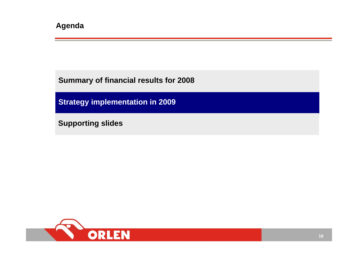**Summary of financial results for 2008**

**Strategy implementation in 2009**

**Supporting slides**

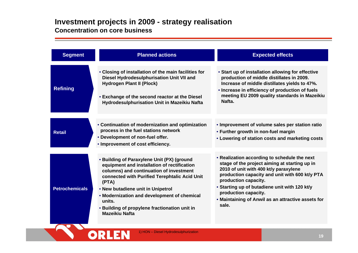#### **Investment projects in 2009 - strategy realisation Concentration on core business**

| <b>Segment</b>        | <b>Planned actions</b>                                                                                                                                                                                                                                                                                                                                                 | <b>Expected effects</b>                                                                                                                                                                                                                                                                                                                                  |
|-----------------------|------------------------------------------------------------------------------------------------------------------------------------------------------------------------------------------------------------------------------------------------------------------------------------------------------------------------------------------------------------------------|----------------------------------------------------------------------------------------------------------------------------------------------------------------------------------------------------------------------------------------------------------------------------------------------------------------------------------------------------------|
| <b>Refining</b>       | • Closing of installation of the main facilities for<br>Diesel Hydrodesulphurisation Unit VII and<br><b>Hydrogen Plant II (Plock)</b><br>• Exchange of the second reactor at the Diesel<br>Hydrodesulphurisation Unit in Mazeikiu Nafta                                                                                                                                | • Start up of installation allowing for effective<br>production of middle distillates in 2009.<br>Increase of middle distillates yields to 47%.<br>• Increase in efficiency of production of fuels<br>meeting EU 2009 quality standards in Mazeikiu<br>Nafta.                                                                                            |
| <b>Retail</b>         | • Continuation of modernization and optimization<br>process in the fuel stations network<br>• Development of non-fuel offer.<br>• Improvement of cost efficiency.                                                                                                                                                                                                      | . Improvement of volume sales per station ratio<br>• Further growth in non-fuel margin<br>• Lowering of station costs and marketing costs                                                                                                                                                                                                                |
| <b>Petrochemicals</b> | • Building of Paraxylene Unit (PX) (ground<br>equipment and installation of rectification<br>columns) and continuation of investment<br>connected with Purified Terephtalic Acid Unit<br>(PTA)<br>• New butadiene unit in Unipetrol<br>• Modernization and development of chemical<br>units.<br>• Building of propylene fractionation unit in<br><b>Mazeikiu Nafta</b> | • Realization according to schedule the next<br>stage of the project aiming at starting up in<br>2010 of unit with 400 kt/y paraxylene<br>production capacity and unit with 600 kt/y PTA<br>production capacity.<br>• Starting up of butadiene unit with 120 kt/y<br>production capacity.<br>. Maintaining of Anwil as an attractive assets for<br>sale. |

**ORLEN**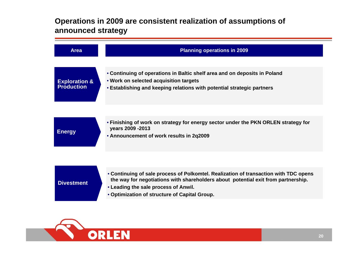### **Operations in 2009 are consistent realization of assumptions of announced strategy**



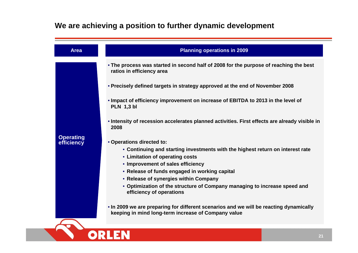## **We are achieving a position to further dynamic development**

**ORLEN** 

| <b>Area</b>                    | <b>Planning operations in 2009</b>                                                                                                                                                                                                                                                                                                                                                                                                                                               |
|--------------------------------|----------------------------------------------------------------------------------------------------------------------------------------------------------------------------------------------------------------------------------------------------------------------------------------------------------------------------------------------------------------------------------------------------------------------------------------------------------------------------------|
|                                | . The process was started in second half of 2008 for the purpose of reaching the best<br>ratios in efficiency area                                                                                                                                                                                                                                                                                                                                                               |
|                                | • Precisely defined targets in strategy approved at the end of November 2008                                                                                                                                                                                                                                                                                                                                                                                                     |
|                                | • Impact of efficiency improvement on increase of EBITDA to 2013 in the level of<br><b>PLN 1,3 bl</b>                                                                                                                                                                                                                                                                                                                                                                            |
|                                | • Intensity of recession accelerates planned activities. First effects are already visible in<br>2008                                                                                                                                                                                                                                                                                                                                                                            |
| <b>Operating</b><br>efficiency | • Operations directed to:<br>• Continuing and starting investments with the highest return on interest rate<br>• Limitation of operating costs<br>• Improvement of sales efficiency<br>• Release of funds engaged in working capital<br>• Release of synergies within Company<br>• Optimization of the structure of Company managing to increase speed and<br>efficiency of operations<br>• In 2009 we are preparing for different scenarios and we will be reacting dynamically |
|                                | keeping in mind long-term increase of Company value                                                                                                                                                                                                                                                                                                                                                                                                                              |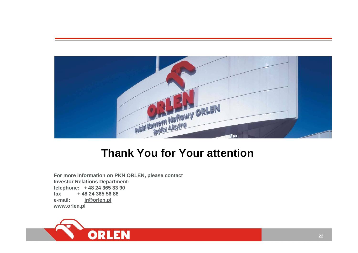

# **Thank You for Your attention**

**For more inf ormation on PKN ORLEN, please contact Investor R elations Department: telephone: + 48 24 365 33 90 fax+ 48 24 365 56 88e-mail: ir@orlen.pl w w w.orlen.pl**

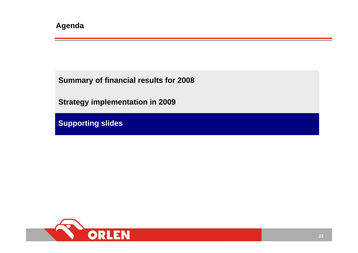**Summary of financial results for 2008**

**Strategy implementation in 2009**

**Supporting slides**

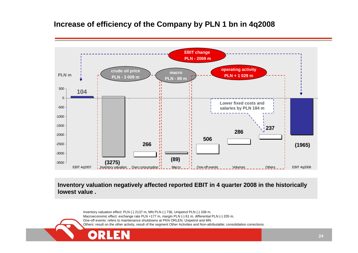### **Increase of efficiency of the Company by PLN 1 bn in 4q2008**



**Inventory valuation negatively affected reported EBIT in 4 quarter 2008 in the historically lowest value .**

Inventory valuation effect: PLN (-) 2137 m, MN PLN (-) 736, Unipetrol PLN (-) 338 m. Macroeconomic effect: exchange rate PLN +177 m, margin PLN (-) 61 m, differential PLN (-) 205 m. One-off events: refers to maintenance shutdowns at P K N ORLEN, Unipetrol and MN. Others: result on the other activity, result of the seg ment Other Activities and Non-attributable; consolidation corrections.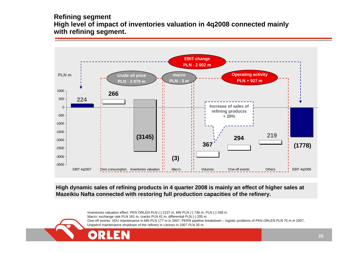#### **Refining segment High level of impact of inventories valuation in 4q2008 connected mainly with refining segment.**



**High dynamic sales of refining products in 4 quarter 2008 is mainly an effect of higher sales at Mazeikiu Nafta connected with restoring full production capacities of the refinery.** 

> Inventories valuation effect: PKN ORLEN PLN (-) 2137 m, MN PLN (-) 736 m, PLN (-) 338 m Macro: exchange rate PLN 161 m, cracks PLN 41 m, differential PLN (-) 205 m. One-off events: VDU maintenance in MN PLN 177 m in 2007, PERN pipeline breakdown – logistic problems of PKN ORLEN PLN 70 m in 2007, Unipetrol maintenance shutdown of the refinery in Litvinov in 2007 PLN 35 m.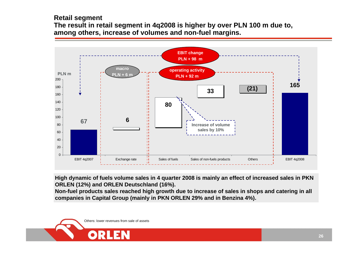#### **Retail segment The result in retail segment in 4q2008 is higher by over PLN 100 m due to, among others, increase of volumes and non-fuel margins.**



**High dynamic of fuels volume sales in 4 quarter 2008 is mainly an effect of increased sales in PKN ORLEN (12%) and ORLEN Deutschland (16%).**

**Non-fuel products sales reached high growth due to increase of sales in shops and catering in all companies in Capital Group (mainly in PKN ORLEN 29% and in Benzina 4%).**

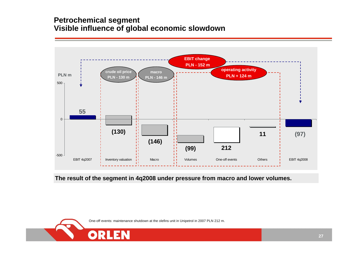### **Petrochemical segment Visible influence of global economic slowdown**



#### **The result of the segment in 4q2008 under pressure from macro and lower volumes.**

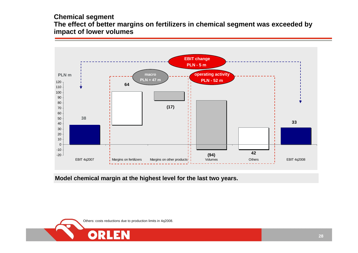#### **Chemical segment The effect of better margins on fertilizers in chemical segment was exceeded by impact of lower volumes**



**Model chemical margin at the highest level for the last two years.**

Others: costs reductions due to production limits in 4q2008.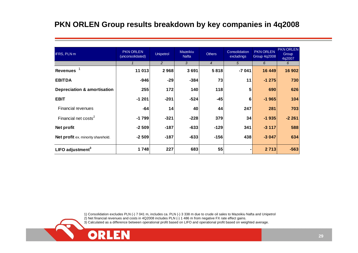### **PKN ORLEN Group results breakdown by key companies in 4q2008**

| IFRS, PLN m                            | <b>PKN ORLEN</b><br>(unconsolidated) | <b>Unipetrol</b> | Mazeikiu<br><b>Nafta</b> | <b>Others</b>  | Consolidation<br>excludings | <b>PKN ORLEN</b><br><b>Group 4q2008</b> | <b>PKN ORLEN</b><br>Group<br>4q2007 |
|----------------------------------------|--------------------------------------|------------------|--------------------------|----------------|-----------------------------|-----------------------------------------|-------------------------------------|
|                                        |                                      | 2                | 3                        | $\overline{4}$ | 5                           | 6                                       | 6                                   |
| <b>Revenues</b>                        | 11 013                               | 2968             | 3691                     | 5818           | $-7041$                     | 16 449                                  | 16 902                              |
| <b>EBITDA</b>                          | $-946$                               | $-29$            | $-384$                   | 73             | 11                          | $-1275$                                 | 730                                 |
| <b>Depreciation &amp; amortisation</b> | 255                                  | 172              | 140                      | 118            | 5                           | 690                                     | 626                                 |
| <b>EBIT</b>                            | $-1201$                              | $-201$           | $-524$                   | $-45$          | 6                           | $-1965$                                 | 104                                 |
| <b>Financial revenues</b>              | $-64$                                | 14               | 40 <sub>1</sub>          | 44             | 247                         | 281                                     | 703                                 |
| Financial net costs <sup>2</sup>       | $-1799$                              | $-321$           | $-228$                   | 379            | 34                          | $-1935$                                 | $-2261$                             |
| Net profit                             | $-2509$                              | $-187$           | $-633$                   | $-129$         | 341                         | $-3117$                                 | 588                                 |
| Net profit ex. minority sharehold.     | $-2509$                              | $-187$           | $-633$                   | $-156$         | 438                         | $-3047$                                 | 634                                 |
| LIFO adjustment $3$                    | 1748                                 | 227              | 683                      | 55             |                             | 2713                                    | $-563$                              |

1) Consolidation excludes PLN (-) 7 041 m, includes ca. PLN (-) 3 338 m due to crude oil sales to Mazeikiu Nafta and Unipetrol

2) Net financial revenues and costs in 4Q2008 includes PLN  $\overrightarrow{()}$  1 486 m from negative FX rate effect gains.

ORL

EN

3) Calculated as a difference between operational profit based on LIFO and operational profit based on weighted average.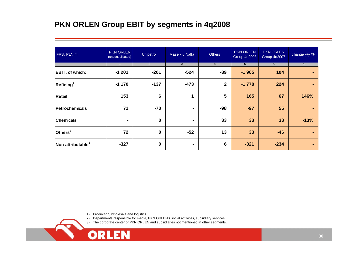## **PKN ORLEN Group EBIT by segments in 4q2008**

| IFRS, PLN m                   | <b>PKN ORLEN</b><br>(unconsolidated) | Unipetrol      | Mazeikiu Nafta | Others          | <b>PKN ORLEN</b><br><b>Group 4q2008</b> | <b>PKN ORLEN</b><br><b>Group 4q2007</b> | change y/y %   |
|-------------------------------|--------------------------------------|----------------|----------------|-----------------|-----------------------------------------|-----------------------------------------|----------------|
|                               | $\mathbf{1}$                         | $\overline{2}$ | $\mathbf{3}$   | $\overline{4}$  | 5 <sup>5</sup>                          | 5 <sup>5</sup>                          | 5 <sup>5</sup> |
| EBIT, of which:               | $-1201$                              | $-201$         | $-524$         | $-39$           | $-1965$                                 | 104                                     |                |
| Refining <sup>1</sup>         | $-1170$                              | $-137$         | $-473$         | $\mathbf{2}$    | $-1778$                                 | 224                                     |                |
| Retail                        | 153                                  | $6\phantom{1}$ | 1              | 5               | 165                                     | 67                                      | 146%           |
| <b>Petrochemicals</b>         | 71                                   | $-70$          | ۰.             | $-98$           | $-97$                                   | 55                                      |                |
| <b>Chemicals</b>              | $\blacksquare$                       | $\bf{0}$       | $\blacksquare$ | 33              | 33                                      | 38                                      | $-13%$         |
| Others <sup>2</sup>           | 72                                   | $\mathbf 0$    | $-52$          | 13              | 33                                      | $-46$                                   |                |
| Non-attributable <sup>3</sup> | $-327$                               | $\bf{0}$       | ٠              | $6\phantom{1}6$ | $-321$                                  | $-234$                                  |                |

1) Production, wholesale and logistics.

EN

ORL

2) Departments responsible for media, PK N O RLEN's social activities, subsidiary services.

3) The corporate center of PK N O RLE N and subsidiaries not mentioned in other seg ments.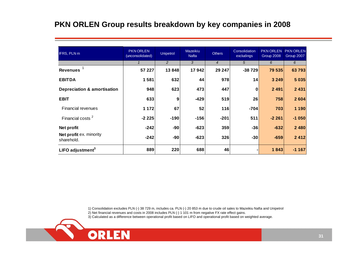### **PKN ORLEN Group results breakdown by key companies in 2008**

| <b>IFRS, PLN m</b>                     | <b>PKN ORLEN</b><br>(unconsolidated) | <b>Unipetrol</b> | Mazeikiu<br><b>Nafta</b> | <b>Others</b>  | Consolidation<br>excludings | <b>PKN ORLEN</b><br>Group 2008 | <b>PKN ORLEN</b><br>Group 2007 |
|----------------------------------------|--------------------------------------|------------------|--------------------------|----------------|-----------------------------|--------------------------------|--------------------------------|
|                                        |                                      | 2                | 3                        | $\overline{4}$ | 5                           | 6                              | 6                              |
| <b>Revenues</b>                        | 57 227                               | 13848            | 17942                    | 29 247         | $-38729$                    | 79 535                         | 63 793                         |
| <b>EBITDA</b>                          | 1581                                 | 632              | 44                       | 978            | 14                          | 3 2 4 9                        | 5 0 3 5                        |
| <b>Depreciation &amp; amortisation</b> | 948                                  | 623              | 473                      | 447            | 0                           | 2 4 9 1                        | 2 4 3 1                        |
| <b>EBIT</b>                            | 633                                  | 9                | $-429$                   | 519            | 26                          | 758                            | 2 604                          |
| <b>Financial revenues</b>              | 1 1 7 2                              | 67               | 52                       | 116            | $-704$                      | 703                            | 1 190                          |
| Financial costs <sup>2</sup>           | $-2225$                              | $-190$           | $-156$                   | $-201$         | 511                         | $-2261$                        | $-1050$                        |
| Net profit                             | $-242$                               | $-90$            | $-623$                   | 359            | $-36$                       | $-632$                         | 2 4 8 0                        |
| Net profit ex. minority<br>sharehold.  | $-242$                               | $-90$            | $-623$                   | 326            | $-30$                       | $-659$                         | 2 4 1 2                        |
| LIFO adjustment <sup>3</sup>           | 889                                  | 220              | 688                      | 46             |                             | 1843                           | $-1167$                        |

1) Consolidation excludes PLN (-) 38 729 m, includes ca. PLN (-) 20 853 m due to crude oil sales to Mazeikiu Nafta and Unipetrol

2) Net financial revenues and costs in 2008 includes PLN (-) 1 101 m from negative FX rate effect gains.

3) Calculated as a difference between operational profit based on LIFO and operational profit based on weighted average.

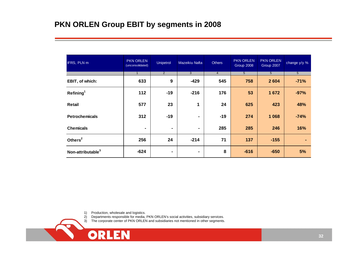| IFRS, PLN m                   | <b>PKN ORLEN</b><br>(unconsolidated) | Unipetrol      | Mazeikiu Nafta | <b>Others</b>  | <b>PKN ORLEN</b><br>Group 2008 | <b>PKN ORLEN</b><br>Group 2007 | change y/y %   |
|-------------------------------|--------------------------------------|----------------|----------------|----------------|--------------------------------|--------------------------------|----------------|
|                               | $\mathbf{1}$                         | $\overline{2}$ | $\overline{3}$ | $\overline{4}$ | 5                              | 5                              | $\overline{5}$ |
| EBIT, of which:               | 633                                  | 9              | $-429$         | 545            | 758                            | 2604                           | $-71%$         |
| Refining <sup>1</sup>         | 112                                  | $-19$          | $-216$         | 176            | 53                             | 1672                           | $-97%$         |
| Retail                        | 577                                  | 23             | 1              | 24             | 625                            | 423                            | 48%            |
| <b>Petrochemicals</b>         | 312                                  | $-19$          | ۰              | $-19$          | 274                            | 1 0 6 8                        | $-74%$         |
| <b>Chemicals</b>              | $\blacksquare$                       | $\blacksquare$ | $\blacksquare$ | 285            | 285                            | 246                            | 16%            |
| Others <sup>2</sup>           | 256                                  | 24             | $-214$         | 71             | 137                            | $-155$                         | ۰              |
| Non-attributable <sup>3</sup> | $-624$                               | ۰              | ٠              | 8              | $-616$                         | $-650$                         | 5%             |

1) Production, wholesale and logistics.<br>2) Departments responsible for media,

**ORLEN** 

2) Departments responsible for media, P K N ORLEN's social activities, subsidiary services.

3) The corporate center of PK N O RLE N and subsidiaries not mentioned in other segments.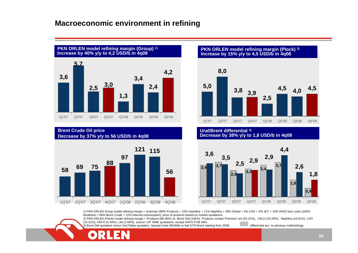### **Macroeconomic environment in refining**



**Bre nt Crude Oil price Decrease by 37 %y/y to 56 USD/b in 4q08**



#### **PKN ORL EN model refining margin (Plock) 2) Increase by 15 % y/y to 4,5 USD/b i n 4q08**



#### **Ural/Brent differential 3) Decrease by 38 %y/y to 1,8 USD/b in 4q08**



1) PKN ORLEN Group model refining margin = revenues (88% Products = 22% Gasoline + 11% Naphtha + 38% Diesel + 3% LHO + 4% JET + 10% HHO) less costs (100% feedstock = 88% Brent Crude + 12% internal consumption); price of products based on market quotations.

2) PKN ORLEN (Plock) model refining margin = Products (88.36%) vs. Brent Dtd (100%). Products contain Premium Unl (25.21%), USLD (23.20%), Naphtha (16.51%), LHO (15.31%), HSFO (5.44%) i Jet (2.69%). source: CIF N WE quotations, except HSFO FOB ARA

3) Brent Dtd quotation minus Ural Rdam quotation. Spread Urals (RDAM) vs fwd DTD Brent starting from 2009. **Detailled acc. to previous methodology**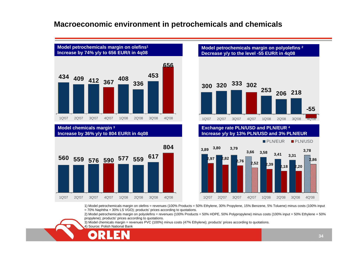### **Macroeconomic environment in petrochemicals and chemicals**



**Model chemicals mar gin 3 Increase by 36 %y/y to 804 EUR/t in 4q08**



**Model petrochemicals margin on pol y olefins <sup>2</sup> Decrease y/y to the lev el -55 EUR/t in 4q08**



**Exchange rate PLN/USD and PLN/EUR 4 Increase y/y by 13 % PLN/USD and 3 % PLN/EUR**



1) Model petroche micals margin on olefins = revenues (100% Products = 50% Ethylene, 30% Propylene, 15% Benzene, 5% Toluene) minus costs (100% input = 70% Naphtha + 30% L S VGO); products' prices according to quotations.

2) Model petroche micals margin on polyolefins = revenues (100% Products = 50% HDPE, 50% Polypropylene) minus costs (100% input = 50% Ethylene + 50% propylene); products' prices according to quotations.

3) Model che micals margin = revenues PV C (100%) minus costs (47% Ethylene); products' prices according to quotations.

4) Source: Polish National Bank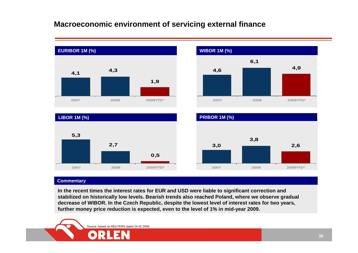### **Macroeconomic environment of servicing external finance**



#### **Commentary**

**In t he recent times the interest rates for EUR and USD were liable to si g nificant correction and**   $\boldsymbol{\epsilon}$  stabilized on historically low levels. Bearish trends also reached Poland, where we observe gradual decrease of WIBOR. In the Czech Republic, despite the lowest level of interest rates for two years, **further money price reduction is expected, even to the level of 1% i n mid-year 2009.** 

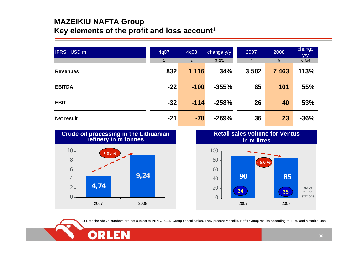### **MAZEIKIU NAFTA Group Key elements of the profit and loss account1**

| IFRS, USD m       | 4q07         | 4q08    | change y/y | 2007           | 2008    | <b>change</b><br>V/V |
|-------------------|--------------|---------|------------|----------------|---------|----------------------|
|                   | $\mathbf{1}$ | 2       | $3=2/1$    | $\overline{4}$ | 5       | $6 = 5/4$            |
| <b>Revenues</b>   | 832          | 1 1 1 6 | 34%        | 3 5 0 2        | 7 4 6 3 | 113%                 |
| <b>EBITDA</b>     | $-22$        | $-100$  | $-355%$    | 65             | 101     | 55%                  |
| <b>EBIT</b>       | $-32$        | $-114$  | $-258%$    | 26             | 40      | 53%                  |
| <b>Net result</b> | $-21$        | $-78$   | $-269%$    | 36             | 23      | $-36%$               |



**9,24**

2008

**4,74**

2007

OR

 $0 -$ 

2

4

6



1) Note the above numbers are not subject to PKN ORLEN Group consolidation. They present Mazeikiu Nafta Group results according to IFRS and historical cost.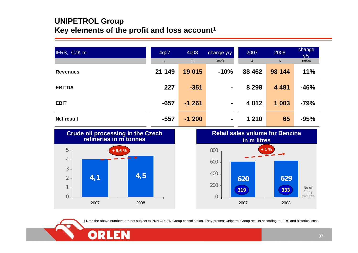### **UNIPETROL Group Key elements of the profit and loss account1**

| IFRS, CZK m     | 4q07           | 4q08    | change y/y | 2007           | 2008    | change<br>V/V |
|-----------------|----------------|---------|------------|----------------|---------|---------------|
|                 | $\blacksquare$ | 2       | $3=2/1$    | $\overline{4}$ | 5       | $6 = 5/4$     |
| <b>Revenues</b> | 21 149         | 19 015  | $-10%$     | 88 4 62        | 98 144  | <b>11%</b>    |
| <b>EBITDA</b>   | 227            | $-351$  | ٠          | 8 2 9 8        | 4 4 8 1 | $-46%$        |
| <b>EBIT</b>     | $-657$         | $-1261$ | ٠          | 4 8 1 2        | 1 0 0 3 | $-79%$        |
| Net result      | $-557$         | $-1200$ | ۰          | 1 2 1 0        | 65      | $-95%$        |



OR



1) Note the above numbers are not subject to PKN ORLEN Group consolidation. They present Unipetrol Group results according to IFRS and historical cost.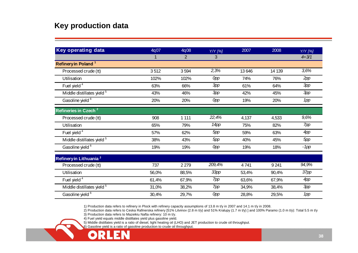### **Key production data**

| <b>Key operating data</b>             | 4q07  | 4q08    | Y/Y [%]    | 2007  | 2008   | Y/Y [%]   |
|---------------------------------------|-------|---------|------------|-------|--------|-----------|
|                                       |       | 2       | 3          |       |        | $4 = 3/1$ |
| Refinery in Poland <sup>1</sup>       |       |         |            |       |        |           |
| Processed crude (tt)                  | 3512  | 3594    | 2,3%       | 13646 | 14 139 | 3,6%      |
| Utilisation                           | 102%  | 102%    | <b>Opp</b> | 74%   | 76%    | 2pp       |
| Fuel yield <sup>4</sup>               | 63%   | 66%     | 3pp        | 61%   | 64%    | 3pp       |
| Middle distillates yield <sup>5</sup> | 43%   | 46%     | 3pp        | 42%   | 45%    | 3pp       |
| Gasoline yield <sup>6</sup>           | 20%   | 20%     | <b>Opp</b> | 19%   | 20%    | 1pp       |
| Refineries in Czech <sup>2</sup>      |       |         |            |       |        |           |
| Processed crude (tt)                  | 908   | 1 1 1 1 | 22,4%      | 4,137 | 4,533  | 9,6%      |
| Utilisation                           | 65%   | 79%     | 14pp       | 75%   | 82%    | 7pp       |
| Fuel yield <sup>4</sup>               | 57%   | 62%     | 5pp        | 59%   | 63%    | 4pp       |
| Middle distillates yield <sup>5</sup> | 38%   | 43%     | 5pp        | 40%   | 45%    | 5pp       |
| Gasoline yield <sup>6</sup>           | 19%   | 19%     | <b>Opp</b> | 19%   | 18%    | $-1$ pp   |
| Refinery in Lithuania <sup>3</sup>    |       |         |            |       |        |           |
| Processed crude (tt)                  | 737   | 2 2 7 9 | 209,4%     | 4741  | 9 2 41 | 94,9%     |
| Utilisation                           | 56,0% | 88,5%   | 33pp       | 53,4% | 90,4%  | 37pp      |
| Fuel yield <sup>4</sup>               | 61,4% | 67,9%   | 7pp        | 63,6% | 67,9%  | 4pp       |
| Middle distillates yield <sup>5</sup> | 31,0% | 38,2%   | 7pp        | 34,9% | 38,4%  | 3pp       |
| Gasoline yield <sup>6</sup>           | 30,4% | 29,7%   | <b>Opp</b> | 28,8% | 29,5%  | 1pp       |

1) Production data refers to refinery in Plock with refinery capacity assumptions of 13.8 m t/y in 2007 and 14.1 m t/y in 2008.

2) Production data refers to Ceska Rafinerska refinery [51% Litvinov (2.8 m t/y) and 51% Kralupy (1.7 m t/y) ] and 100% Paramo (1.0 m t/y): Total 5.5 m t/y

3) Production data refers to Mazeikiu Nafta refinery: 10 m t/y.

4) Fuel yield equals middle distillates yield plus gasoline yield.

5) Middle distillates yield is a ratio of diesel, light heating oil (LHO) and JET production to crude oil throughput.

6) Gasoline yield is a ratio of gasoline production to crude oil throughput.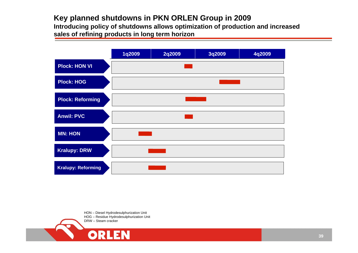## **Key planned shutdowns in PKN ORLEN Group in 2009** Introducing policy of shutdowns allows optimization of production and increased

**sales of r efining products in long te r m horizon**



HON – Diesel Hydrodesulphurization Unit HOG – Residue Hydrodesulphurization Unit DRW – Steam cracker

IEN

ORL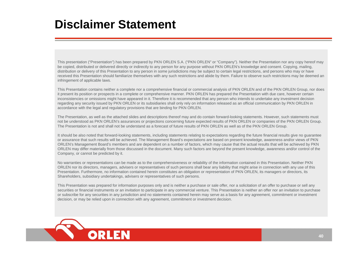# **Disclaimer Statement**

This presentation ("Presentation") has been prepared by PKN ORLEN S.A. ("PKN ORLEN" or "Company"). Neither the Presentation nor any copy hereof may be copied, distributed or delivered directly or indirectly to any person for any purpose without PKN ORLEN's kno wledge and consent. Copying, mailing, distribution or delivery of this Presentation to any person in some jurisdictions may be subject to certain legal restrictions, and persons who may or have received this Presentation should familiarize themselves with any such restrictions and abide by them. Failure to observe such restrictions may be deemed an infringement of applicable la ws.

This Presentation contains neither a complete nor a comprehensive financial or commercial analysis of PKN ORLEN and of the PKN ORLEN Group, nor does it present its position or prospects in a complete or comprehensive manner. PKN ORLEN has prepared the Presentation with due care, ho wever certain inconsistencies or omissions might have appeared in it. Therefore it is recommended that any person who intends to undertake any investment decision regarding any security issued by PKN ORLEN or its subsidiaries shall only rely on information released as an official communication by PKN ORLEN in accordance with the legal and regulatory provisions that are binding for PKN ORLEN.

The Presentation, as well as the attached slides and descriptions thereof may and do contain for ward-looking statements. Ho wever, such statements must not be understood as PKN ORLEN's assurances or projections concerning future expected results of PKN ORLEN or companies of the PKN ORLEN Group. The Presentation is not and shall not be understand as a forecast of future results of PKN ORLEN as well as of the PKN ORLEN Group.

It should be also noted that forward-looking statements, including statements relating to expectations regarding the future financial results give no guarantee or assurance that such results will be achieved. The Management Board's expectations are based on present kno wledge, a wareness and/or vie ws of PKN ORLEN's Management Board's members and are dependent on a number of factors, which may cause that the actual results that will be achieved by PKN ORLEN may differ materially from those discussed in the document. Many such factors are beyond the present kno wledge, a wareness and/or control of the Company, or cannot be predicted by it.

No warranties or representations can be made as to the comprehensiveness or reliability of the information contained in this Presentation. Neither PKN ORLEN nor its directors, managers, advisers or representatives of such persons shall bear any liability that might arise in connection with any use of this Presentation. Furthermore, no information contained herein constitutes an obligation or representation of PKN ORLEN, its managers or directors, its Shareholders, subsidiary undertakings, advisers or representatives of such persons.

This Presentation was prepared for information purposes only and is neither a purchase or sale offer, nor a solicitation of an offer to purchase or sell any securities or financial instruments or an invitation to participate in any commercial venture. This Presentation is neither an offer nor an invitation to purchase or subscribe for any securities in any jurisdiction and no statements contained herein may serve as a basis for any agreement, commitment or investment decision, or may be relied upon in connection with any agreement, commitment or investment decision.